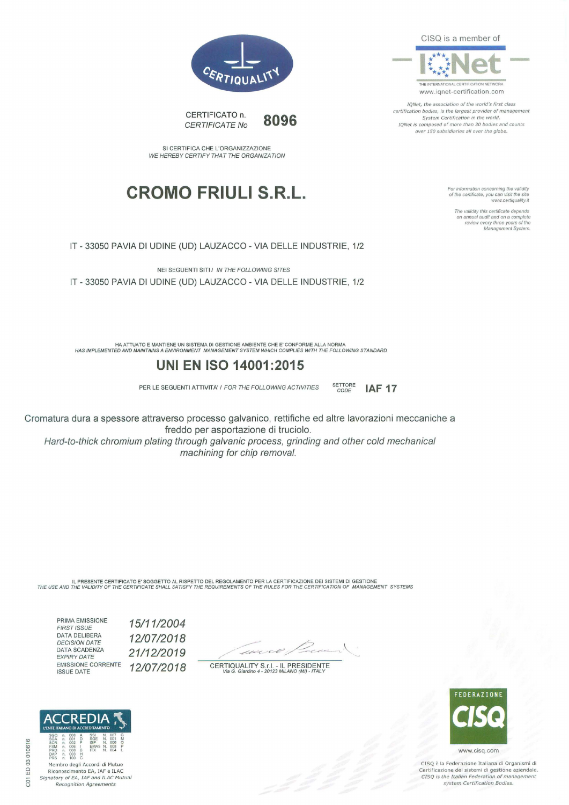CISQ is a member of



IQNet, the association of the world's first class certification bodies, is the largest provider of management System Certification in the world. IQNet is composed of more than 30 bodies and counts over 150 subsidiaries all over the globe.

**IAF 17** 

For information concerning the validity<br>of the certificate, you can visit the site www.certiquality.it

The validity this certificate depends on annua/ audit and on a complete review every three years of the Management System.



CERTIFICATO n. CERTIFICATE No **8096** 

SI CERTIFICA CHE L'ORGANIZZAZIONE WE HEREBY CERTIFY THAT THE ORGANIZA TION

## **CROMO FRIULI S.R.L.**

IT - 33050 PAVIA DI UDINE (UD) LAUZACCO - VIA DELLE INDUSTRIE, 1/2

NEI SEGUENTI SITI I IN THE FOLLOWING SITES IT - 33050 PAVIA DI UDINE (UD) LAUZACCO - VIA DELLE INDUSTRIE, 1/2

HA ATTUATO E MANTIENE UN SISTEMA DI GESTIONE AMBIENTE CHE E' CONFORME ALLA NORMA HAS IMPLEMENTED ANO MAINTAINS A ENVIRONMENT MANAGEMENT SYSTEM WHICH COMPLIES WITH THE FOLLOWING STANDARD

### **UNI EN ISO 14001 :2015**

PER LE SEGUENTI ATTIVITA' / FOR THE FOLLOWING ACTIVITIES SETTORE

Cromatura dura a spessore attraverso processo galvanico, rettifiche ed altre lavorazioni meccaniche a freddo per asportazione di truciolo.

Hard-to-thick chromium plating through galvanic process, grinding and other cold mechanical machining for chip removal.

IL PRESENTE CERTIFICATO E' SOGGETTO AL RISPETTO DEL REGOLAMENTO PER LA CERTIFICAZIONE DEI SISTEMI DI GESTIONE<br>THE USE AND THE VALIDITY OF THE CERTIFICATE SHALL SATISFY THE REQUIREMENTS OF THE RULES FOR THE CERTIFICATION OF

PRIMA EMISSIONE **FIRST ISSUE** DATA DELIBERA DECISION DATE DATA SCADENZA EXPIRY DATE EMISSIONE CORRENTE ISSUE DATE

*1511112004 1210712018 2111212019 1210712018* 

zo

CERTIQUALITY S.r.l. - IL PRESIDENTE<br>Via G. Giardino 4 - 20123 MILANO (MI) - ITALY



CISQ è la Federazione Italiana di Organismi di Certificazione dei sistemi di gestione aziendale CTSQ is the Italian Federation of management system Certification Bodies.